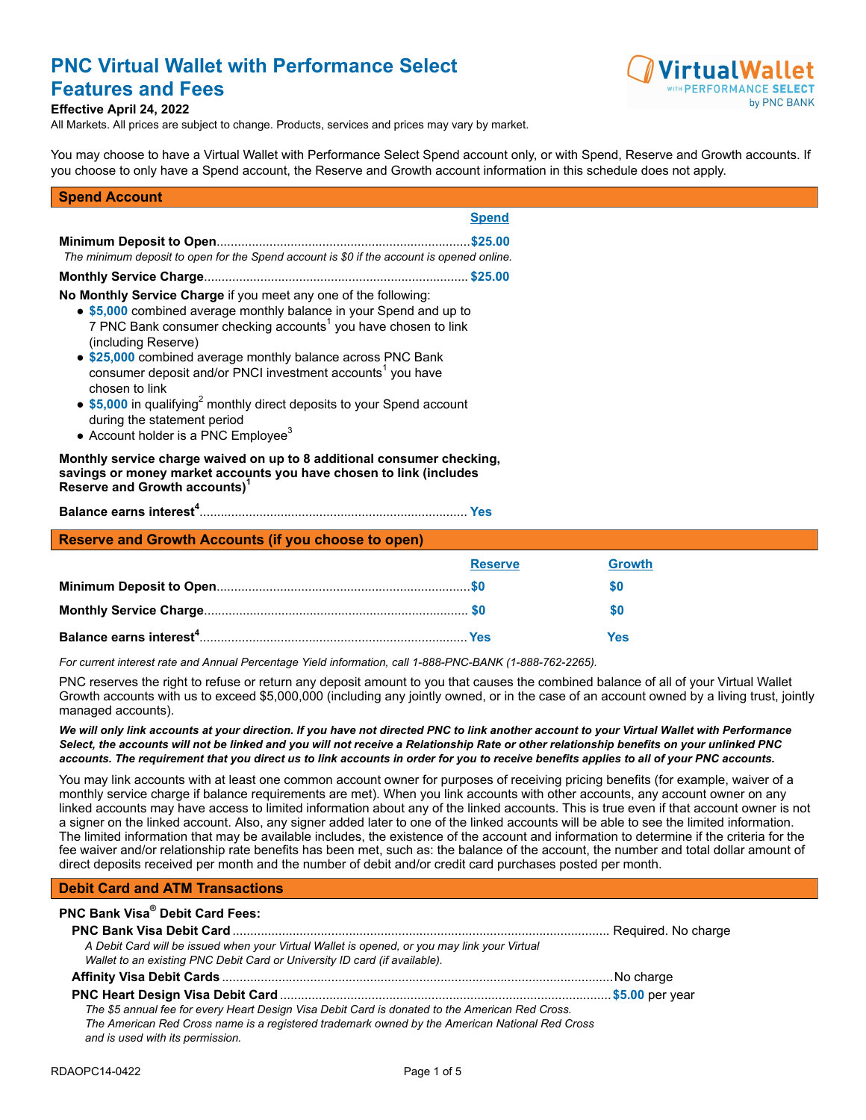# **PNC Virtual Wallet with Performance Select Features and Fees**



#### **Effective April 24, 2022**

All Markets. All prices are subject to change. Products, services and prices may vary by market.

You may choose to have a Virtual Wallet with Performance Select Spend account only, or with Spend, Reserve and Growth accounts. If you choose to only have a Spend account, the Reserve and Growth account information in this schedule does not apply.

#### **Spend Account**

| <b>Spend</b>                                                                                                                                                                                                                                                                                                                                                                                                                                                                                                                                                        |  |
|---------------------------------------------------------------------------------------------------------------------------------------------------------------------------------------------------------------------------------------------------------------------------------------------------------------------------------------------------------------------------------------------------------------------------------------------------------------------------------------------------------------------------------------------------------------------|--|
| \$25.00<br>The minimum deposit to open for the Spend account is \$0 if the account is opened online.                                                                                                                                                                                                                                                                                                                                                                                                                                                                |  |
| No Monthly Service Charge if you meet any one of the following:<br>• \$5,000 combined average monthly balance in your Spend and up to<br>7 PNC Bank consumer checking accounts <sup>1</sup> you have chosen to link<br>(including Reserve)<br>• \$25,000 combined average monthly balance across PNC Bank<br>consumer deposit and/or PNCI investment accounts <sup>1</sup> you have<br>chosen to link<br>• \$5,000 in qualifying <sup>2</sup> monthly direct deposits to your Spend account<br>during the statement period<br>• Account holder is a PNC $Emplovee3$ |  |
| Monthly service charge waived on up to 8 additional consumer checking,<br>savings or money market accounts you have chosen to link (includes<br>Reserve and Growth accounts)                                                                                                                                                                                                                                                                                                                                                                                        |  |

**Balance earns interest[4](#page-4-3)** ............................................................................ **Yes**

#### **Reserve and Growth Accounts (if you choose to open)**

| <b>Reserve</b> | <b>Growth</b> |
|----------------|---------------|
|                |               |
|                | 50            |
|                | Yes           |

*For current interest rate and Annual Percentage Yield information, call 1-888-PNC-BANK (1-888-762-2265).*

PNC reserves the right to refuse or return any deposit amount to you that causes the combined balance of all of your Virtual Wallet Growth accounts with us to exceed \$5,000,000 (including any jointly owned, or in the case of an account owned by a living trust, jointly managed accounts).

*We will only link accounts at your direction. If you have not directed PNC to link another account to your Virtual Wallet with Performance Select, the accounts will not be linked and you will not receive a Relationship Rate or other relationship benefits on your unlinked PNC accounts. The requirement that you direct us to link accounts in order for you to receive benefits applies to all of your PNC accounts.*

You may link accounts with at least one common account owner for purposes of receiving pricing benefits (for example, waiver of a monthly service charge if balance requirements are met). When you link accounts with other accounts, any account owner on any linked accounts may have access to limited information about any of the linked accounts. This is true even if that account owner is not a signer on the linked account. Also, any signer added later to one of the linked accounts will be able to see the limited information. The limited information that may be available includes, the existence of the account and information to determine if the criteria for the fee waiver and/or relationship rate benefits has been met, such as: the balance of the account, the number and total dollar amount of direct deposits received per month and the number of debit and/or credit card purchases posted per month.

### **Debit Card and ATM Transactions**

| PNC Bank Visa® Debit Card Fees:                                                                 |  |
|-------------------------------------------------------------------------------------------------|--|
|                                                                                                 |  |
| A Debit Card will be issued when your Virtual Wallet is opened, or you may link your Virtual    |  |
| Wallet to an existing PNC Debit Card or University ID card (if available).                      |  |
|                                                                                                 |  |
|                                                                                                 |  |
| The \$5 annual fee for every Heart Design Visa Debit Card is donated to the American Red Cross. |  |
| The American Red Cross name is a registered trademark owned by the American National Red Cross  |  |
| and is used with its permission.                                                                |  |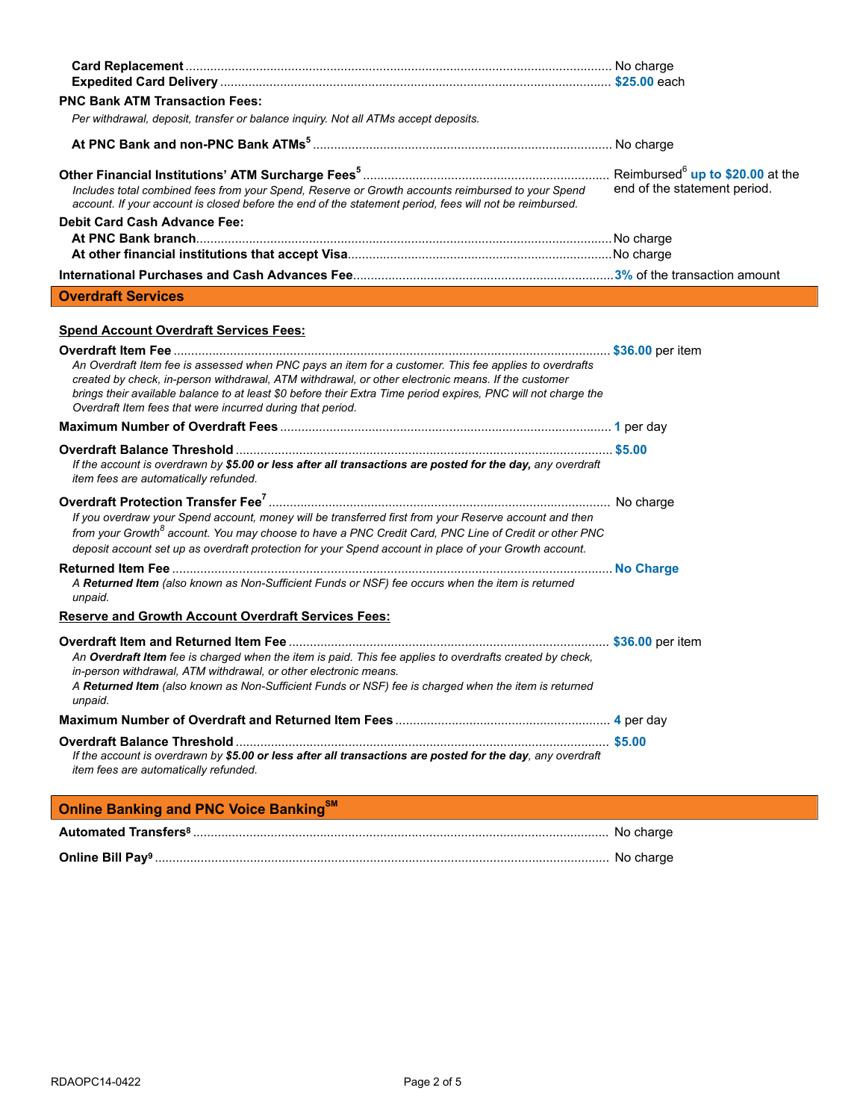| <b>PNC Bank ATM Transaction Fees:</b>                                                                                                                                                                                                                                                                                                                                                        |                              |
|----------------------------------------------------------------------------------------------------------------------------------------------------------------------------------------------------------------------------------------------------------------------------------------------------------------------------------------------------------------------------------------------|------------------------------|
| Per withdrawal, deposit, transfer or balance inquiry. Not all ATMs accept deposits.                                                                                                                                                                                                                                                                                                          |                              |
|                                                                                                                                                                                                                                                                                                                                                                                              |                              |
| Includes total combined fees from your Spend, Reserve or Growth accounts reimbursed to your Spend<br>account. If your account is closed before the end of the statement period, fees will not be reimbursed.                                                                                                                                                                                 | end of the statement period. |
| <b>Debit Card Cash Advance Fee:</b>                                                                                                                                                                                                                                                                                                                                                          |                              |
|                                                                                                                                                                                                                                                                                                                                                                                              |                              |
|                                                                                                                                                                                                                                                                                                                                                                                              |                              |
|                                                                                                                                                                                                                                                                                                                                                                                              |                              |
| <b>Overdraft Services</b>                                                                                                                                                                                                                                                                                                                                                                    |                              |
| <b>Spend Account Overdraft Services Fees:</b>                                                                                                                                                                                                                                                                                                                                                |                              |
| An Overdraft Item fee is assessed when PNC pays an item for a customer. This fee applies to overdrafts<br>created by check, in-person withdrawal, ATM withdrawal, or other electronic means. If the customer<br>brings their available balance to at least \$0 before their Extra Time period expires, PNC will not charge the<br>Overdraft Item fees that were incurred during that period. |                              |
|                                                                                                                                                                                                                                                                                                                                                                                              |                              |
| If the account is overdrawn by \$5.00 or less after all transactions are posted for the day, any overdraft<br>item fees are automatically refunded.                                                                                                                                                                                                                                          |                              |
| If you overdraw your Spend account, money will be transferred first from your Reserve account and then<br>from your Growth <sup>8</sup> account. You may choose to have a PNC Credit Card, PNC Line of Credit or other PNC<br>deposit account set up as overdraft protection for your Spend account in place of your Growth account.                                                         |                              |
| A Returned Item (also known as Non-Sufficient Funds or NSF) fee occurs when the item is returned<br>unpaid.                                                                                                                                                                                                                                                                                  |                              |
| <b>Reserve and Growth Account Overdraft Services Fees:</b>                                                                                                                                                                                                                                                                                                                                   |                              |
| An Overdraft Item fee is charged when the item is paid. This fee applies to overdrafts created by check,<br>in-person withdrawal, ATM withdrawal, or other electronic means.<br>A Returned Item (also known as Non-Sufficient Funds or NSF) fee is charged when the item is returned<br>unpaid.                                                                                              |                              |
|                                                                                                                                                                                                                                                                                                                                                                                              |                              |
|                                                                                                                                                                                                                                                                                                                                                                                              |                              |
| If the account is overdrawn by \$5.00 or less after all transactions are posted for the day, any overdraft<br>item fees are automatically refunded.                                                                                                                                                                                                                                          |                              |
| <b>Online Banking and PNC Voice Banking<sup>SM</sup></b>                                                                                                                                                                                                                                                                                                                                     |                              |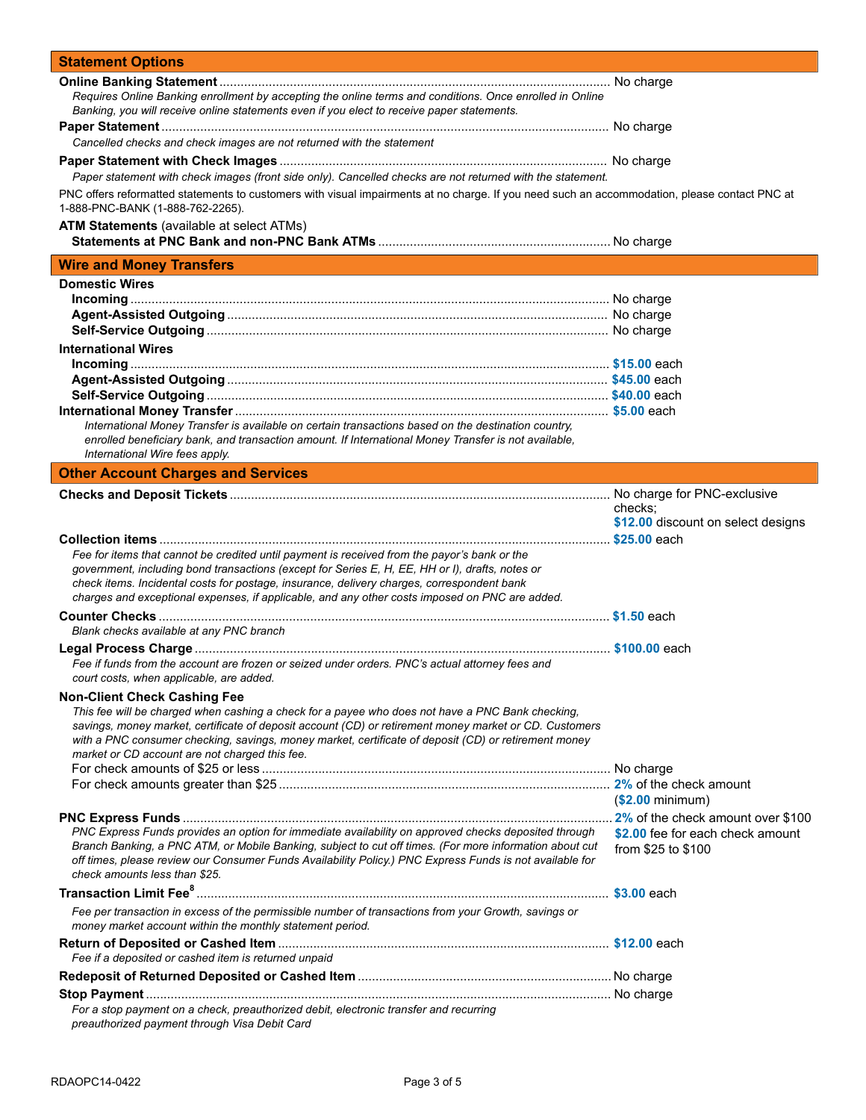| <b>Statement Options</b>                                                                                                                                                                               |                                    |
|--------------------------------------------------------------------------------------------------------------------------------------------------------------------------------------------------------|------------------------------------|
|                                                                                                                                                                                                        |                                    |
| Requires Online Banking enrollment by accepting the online terms and conditions. Once enrolled in Online<br>Banking, you will receive online statements even if you elect to receive paper statements. |                                    |
|                                                                                                                                                                                                        |                                    |
| Cancelled checks and check images are not returned with the statement                                                                                                                                  |                                    |
|                                                                                                                                                                                                        |                                    |
| Paper statement with check images (front side only). Cancelled checks are not returned with the statement.                                                                                             |                                    |
| PNC offers reformatted statements to customers with visual impairments at no charge. If you need such an accommodation, please contact PNC at<br>1-888-PNC-BANK (1-888-762-2265).                      |                                    |
| <b>ATM Statements</b> (available at select ATMs)                                                                                                                                                       |                                    |
|                                                                                                                                                                                                        |                                    |
| <b>Wire and Money Transfers</b>                                                                                                                                                                        |                                    |
| <b>Domestic Wires</b>                                                                                                                                                                                  |                                    |
|                                                                                                                                                                                                        |                                    |
|                                                                                                                                                                                                        |                                    |
|                                                                                                                                                                                                        |                                    |
| <b>International Wires</b>                                                                                                                                                                             |                                    |
|                                                                                                                                                                                                        |                                    |
|                                                                                                                                                                                                        |                                    |
|                                                                                                                                                                                                        |                                    |
| International Money Transfer is available on certain transactions based on the destination country,                                                                                                    |                                    |
| enrolled beneficiary bank, and transaction amount. If International Money Transfer is not available,                                                                                                   |                                    |
| International Wire fees apply.                                                                                                                                                                         |                                    |
| <b>Other Account Charges and Services</b>                                                                                                                                                              |                                    |
|                                                                                                                                                                                                        |                                    |
|                                                                                                                                                                                                        | checks;                            |
|                                                                                                                                                                                                        | \$12.00 discount on select designs |
|                                                                                                                                                                                                        |                                    |
| Fee for items that cannot be credited until payment is received from the payor's bank or the<br>government, including bond transactions (except for Series E, H, EE, HH or I), drafts, notes or        |                                    |
| check items. Incidental costs for postage, insurance, delivery charges, correspondent bank                                                                                                             |                                    |
| charges and exceptional expenses, if applicable, and any other costs imposed on PNC are added.                                                                                                         |                                    |
|                                                                                                                                                                                                        |                                    |
| Blank checks available at any PNC branch                                                                                                                                                               |                                    |
|                                                                                                                                                                                                        |                                    |
| Fee if funds from the account are frozen or seized under orders. PNC's actual attorney fees and                                                                                                        |                                    |
| court costs, when applicable, are added.                                                                                                                                                               |                                    |
| <b>Non-Client Check Cashing Fee</b>                                                                                                                                                                    |                                    |
| This fee will be charged when cashing a check for a payee who does not have a PNC Bank checking,                                                                                                       |                                    |
| savings, money market, certificate of deposit account (CD) or retirement money market or CD. Customers                                                                                                 |                                    |
| with a PNC consumer checking, savings, money market, certificate of deposit (CD) or retirement money<br>market or CD account are not charged this fee.                                                 |                                    |
|                                                                                                                                                                                                        |                                    |
|                                                                                                                                                                                                        |                                    |
|                                                                                                                                                                                                        | ( <b>2.00</b> minimum)             |
|                                                                                                                                                                                                        |                                    |
| PNC Express Funds provides an option for immediate availability on approved checks deposited through                                                                                                   | \$2.00 fee for each check amount   |
| Branch Banking, a PNC ATM, or Mobile Banking, subject to cut off times. (For more information about cut                                                                                                | from \$25 to \$100                 |
| off times, please review our Consumer Funds Availability Policy.) PNC Express Funds is not available for                                                                                               |                                    |
| check amounts less than \$25.                                                                                                                                                                          |                                    |
|                                                                                                                                                                                                        |                                    |
| Fee per transaction in excess of the permissible number of transactions from your Growth, savings or                                                                                                   |                                    |
| money market account within the monthly statement period.                                                                                                                                              |                                    |
|                                                                                                                                                                                                        |                                    |
| Fee if a deposited or cashed item is returned unpaid                                                                                                                                                   |                                    |
|                                                                                                                                                                                                        |                                    |
|                                                                                                                                                                                                        |                                    |
| For a stop payment on a check, preauthorized debit, electronic transfer and recurring<br>preauthorized payment through Visa Debit Card                                                                 |                                    |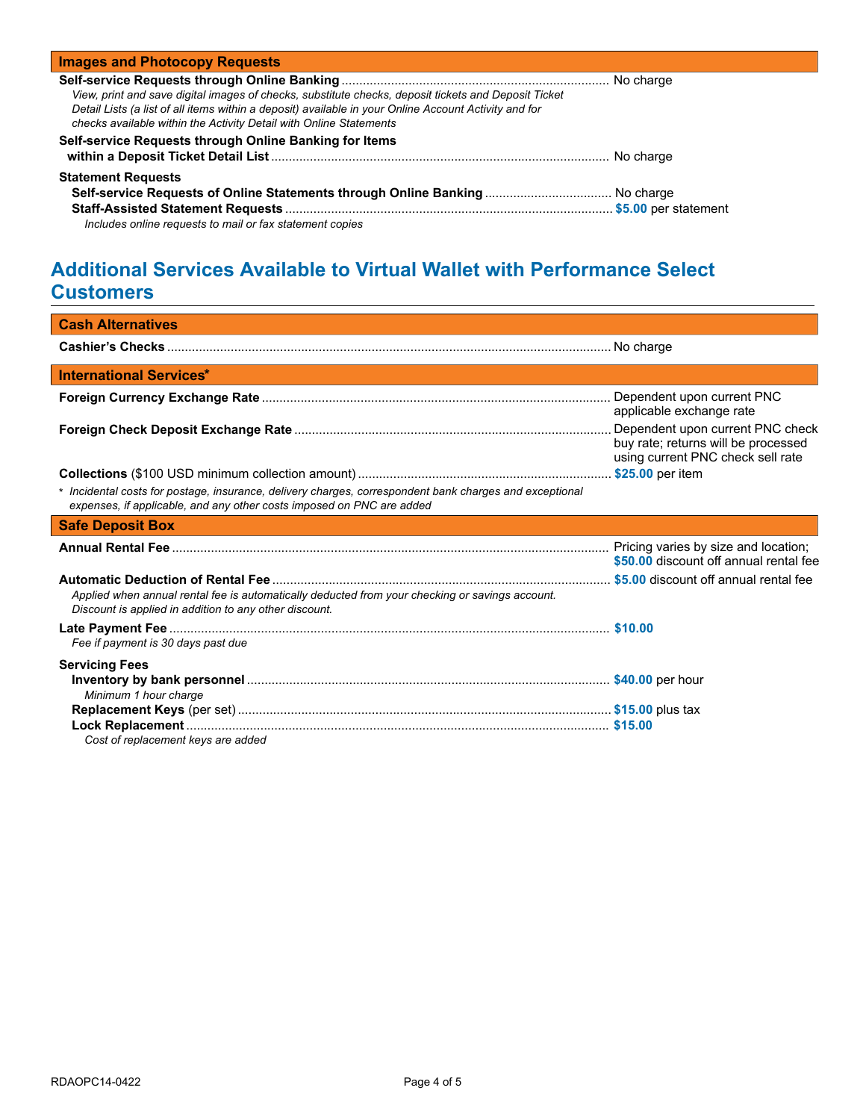| <b>Images and Photocopy Requests</b>                                                                                                                                                                                                                                                |           |
|-------------------------------------------------------------------------------------------------------------------------------------------------------------------------------------------------------------------------------------------------------------------------------------|-----------|
| View, print and save digital images of checks, substitute checks, deposit tickets and Deposit Ticket<br>Detail Lists (a list of all items within a deposit) available in your Online Account Activity and for<br>checks available within the Activity Detail with Online Statements |           |
| Self-service Requests through Online Banking for Items                                                                                                                                                                                                                              | No charge |
| <b>Statement Requests</b><br>Includes online requests to mail or fax statement copies                                                                                                                                                                                               |           |

# **Additional Services Available to Virtual Wallet with Performance Select Customers**

| <b>Cash Alternatives</b>                                                                                                                                                         |                                                                                                              |
|----------------------------------------------------------------------------------------------------------------------------------------------------------------------------------|--------------------------------------------------------------------------------------------------------------|
|                                                                                                                                                                                  |                                                                                                              |
| <b>International Services*</b>                                                                                                                                                   |                                                                                                              |
|                                                                                                                                                                                  | applicable exchange rate                                                                                     |
|                                                                                                                                                                                  | Dependent upon current PNC check<br>buy rate; returns will be processed<br>using current PNC check sell rate |
|                                                                                                                                                                                  |                                                                                                              |
| * Incidental costs for postage, insurance, delivery charges, correspondent bank charges and exceptional<br>expenses, if applicable, and any other costs imposed on PNC are added |                                                                                                              |
| <b>Safe Deposit Box</b><br><b>Service Service</b>                                                                                                                                |                                                                                                              |
|                                                                                                                                                                                  | \$50.00 discount off annual rental fee                                                                       |
| Applied when annual rental fee is automatically deducted from your checking or savings account.<br>Discount is applied in addition to any other discount.                        |                                                                                                              |
| Fee if payment is 30 days past due                                                                                                                                               |                                                                                                              |
| <b>Servicing Fees</b>                                                                                                                                                            |                                                                                                              |
| Minimum 1 hour charge                                                                                                                                                            |                                                                                                              |
|                                                                                                                                                                                  |                                                                                                              |
| Cost of replacement keys are added                                                                                                                                               |                                                                                                              |